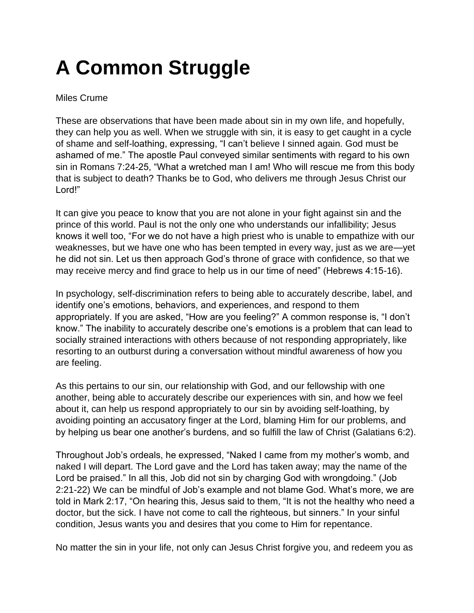## **A Common Struggle**

## Miles Crume

These are observations that have been made about sin in my own life, and hopefully, they can help you as well. When we struggle with sin, it is easy to get caught in a cycle of shame and self-loathing, expressing, "I can't believe I sinned again. God must be ashamed of me." The apostle Paul conveyed similar sentiments with regard to his own sin in Romans 7:24-25, "What a wretched man I am! Who will rescue me from this body that is subject to death? Thanks be to God, who delivers me through Jesus Christ our Lord!"

It can give you peace to know that you are not alone in your fight against sin and the prince of this world. Paul is not the only one who understands our infallibility; Jesus knows it well too, "For we do not have a high priest who is unable to empathize with our weaknesses, but we have one who has been tempted in every way, just as we are—yet he did not sin. Let us then approach God's throne of grace with confidence, so that we may receive mercy and find grace to help us in our time of need" (Hebrews 4:15-16).

In psychology, self-discrimination refers to being able to accurately describe, label, and identify one's emotions, behaviors, and experiences, and respond to them appropriately. If you are asked, "How are you feeling?" A common response is, "I don't know." The inability to accurately describe one's emotions is a problem that can lead to socially strained interactions with others because of not responding appropriately, like resorting to an outburst during a conversation without mindful awareness of how you are feeling.

As this pertains to our sin, our relationship with God, and our fellowship with one another, being able to accurately describe our experiences with sin, and how we feel about it, can help us respond appropriately to our sin by avoiding self-loathing, by avoiding pointing an accusatory finger at the Lord, blaming Him for our problems, and by helping us bear one another's burdens, and so fulfill the law of Christ (Galatians 6:2).

Throughout Job's ordeals, he expressed, "Naked I came from my mother's womb, and naked I will depart. The Lord gave and the Lord has taken away; may the name of the Lord be praised." In all this, Job did not sin by charging God with wrongdoing." (Job 2:21-22) We can be mindful of Job's example and not blame God. What's more, we are told in Mark 2:17, "On hearing this, Jesus said to them, "It is not the healthy who need a doctor, but the sick. I have not come to call the righteous, but sinners." In your sinful condition, Jesus wants you and desires that you come to Him for repentance.

No matter the sin in your life, not only can Jesus Christ forgive you, and redeem you as